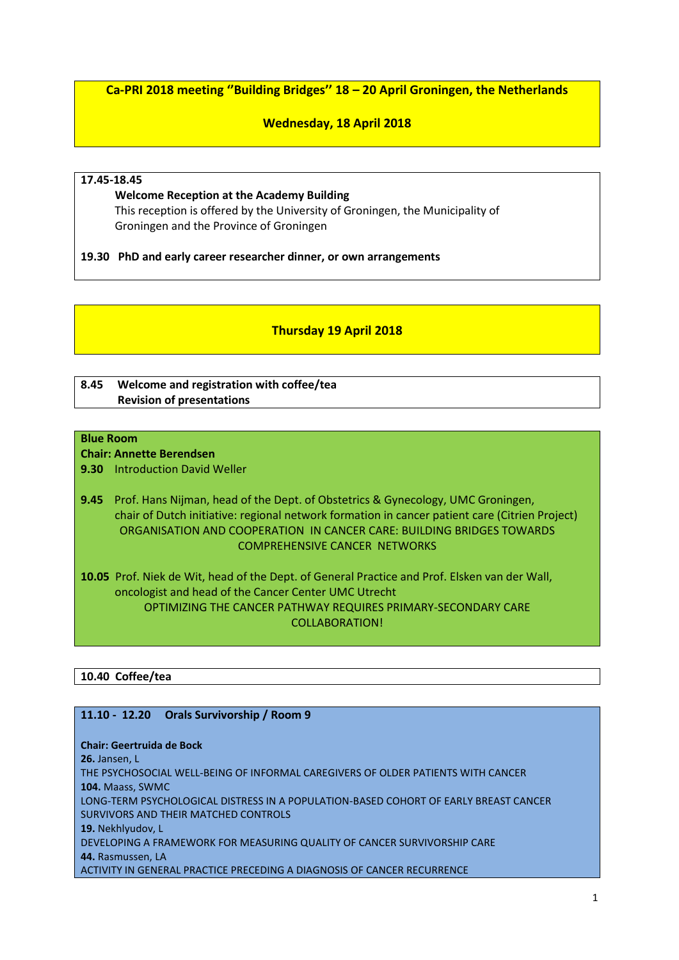**Ca-PRI 2018 meeting ''Building Bridges'' 18 – 20 April Groningen, the Netherlands**

# **Wednesday, 18 April 2018**

# **17.45-18.45**

 **Welcome Reception at the Academy Building** This reception is offered by the University of Groningen, the Municipality of Groningen and the Province of Groningen

**19.30 PhD and early career researcher dinner, or own arrangements** 

# **Thursday 19 April 2018**

# **8.45 Welcome and registration with coffee/tea Revision of presentations**

# **Blue Room**

**Chair: Annette Berendsen**

**9.30** Introduction David Weller

**9.45** Prof. Hans Nijman, head of the Dept. of Obstetrics & Gynecology, UMC Groningen, chair of Dutch initiative: regional network formation in cancer patient care (Citrien Project) ORGANISATION AND COOPERATION IN CANCER CARE: BUILDING BRIDGES TOWARDS COMPREHENSIVE CANCER NETWORKS

**10.05** Prof. Niek de Wit, head of the Dept. of General Practice and Prof. Elsken van der Wall, oncologist and head of the Cancer Center UMC Utrecht OPTIMIZING THE CANCER PATHWAY REQUIRES PRIMARY-SECONDARY CARE COLLABORATION!

# **10.40 Coffee/tea**

# **11.10 - 12.20 Orals Survivorship / Room 9**

**Chair: Geertruida de Bock 26.** Jansen, L THE PSYCHOSOCIAL WELL-BEING OF INFORMAL CAREGIVERS OF OLDER PATIENTS WITH CANCER **104.** Maass, SWMC LONG-TERM PSYCHOLOGICAL DISTRESS IN A POPULATION-BASED COHORT OF EARLY BREAST CANCER SURVIVORS AND THEIR MATCHED CONTROLS **19.** Nekhlyudov, L DEVELOPING A FRAMEWORK FOR MEASURING QUALITY OF CANCER SURVIVORSHIP CARE **44.** Rasmussen, LA ACTIVITY IN GENERAL PRACTICE PRECEDING A DIAGNOSIS OF CANCER RECURRENCE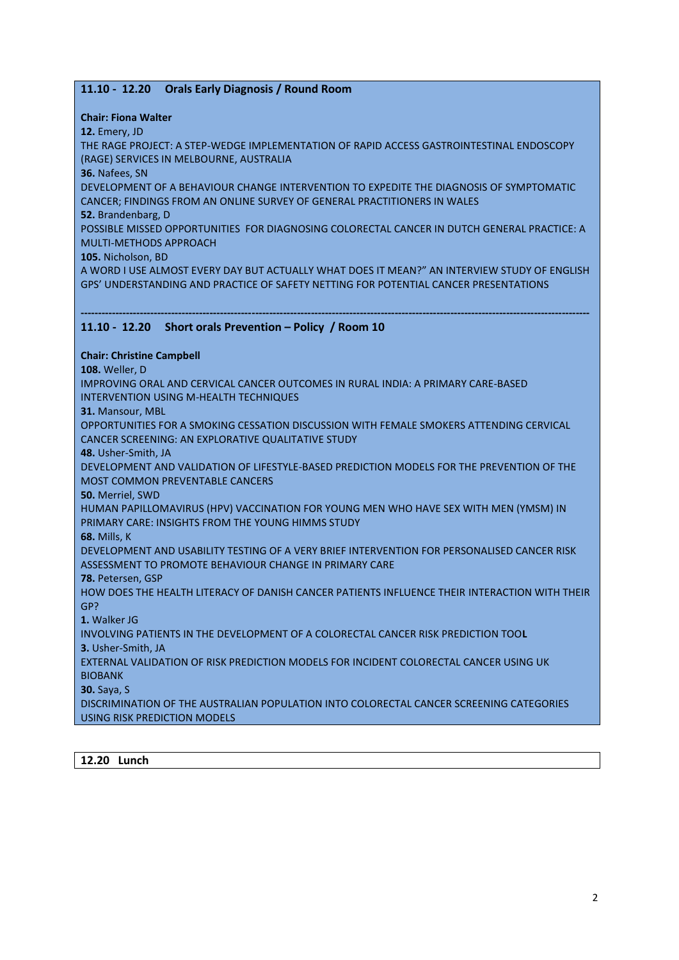# **11.10 - 12.20 Orals Early Diagnosis / Round Room**

**Chair: Fiona Walter**

**12.** Emery, JD

THE RAGE PROJECT: A STEP-WEDGE IMPLEMENTATION OF RAPID ACCESS GASTROINTESTINAL ENDOSCOPY (RAGE) SERVICES IN MELBOURNE, AUSTRALIA

**36.** Nafees, SN

DEVELOPMENT OF A BEHAVIOUR CHANGE INTERVENTION TO EXPEDITE THE DIAGNOSIS OF SYMPTOMATIC CANCER; FINDINGS FROM AN ONLINE SURVEY OF GENERAL PRACTITIONERS IN WALES

**52.** Brandenbarg, D

POSSIBLE MISSED OPPORTUNITIES FOR DIAGNOSING COLORECTAL CANCER IN DUTCH GENERAL PRACTICE: A MULTI-METHODS APPROACH

**105.** Nicholson, BD

A WORD I USE ALMOST EVERY DAY BUT ACTUALLY WHAT DOES IT MEAN?" AN INTERVIEW STUDY OF ENGLISH GPS' UNDERSTANDING AND PRACTICE OF SAFETY NETTING FOR POTENTIAL CANCER PRESENTATIONS

#### **-------------------------------------------------------------------------------------------------------------------------------------------------- 11.10 - 12.20 Short orals Prevention – Policy / Room 10**

### **Chair: Christine Campbell**

**108.** Weller, D

IMPROVING ORAL AND CERVICAL CANCER OUTCOMES IN RURAL INDIA: A PRIMARY CARE-BASED INTERVENTION USING M-HEALTH TECHNIQUES

**31.** Mansour, MBL

OPPORTUNITIES FOR A SMOKING CESSATION DISCUSSION WITH FEMALE SMOKERS ATTENDING CERVICAL CANCER SCREENING: AN EXPLORATIVE QUALITATIVE STUDY

**48.** Usher-Smith, JA

DEVELOPMENT AND VALIDATION OF LIFESTYLE-BASED PREDICTION MODELS FOR THE PREVENTION OF THE MOST COMMON PREVENTABLE CANCERS

**50.** Merriel, SWD

HUMAN PAPILLOMAVIRUS (HPV) VACCINATION FOR YOUNG MEN WHO HAVE SEX WITH MEN (YMSM) IN PRIMARY CARE: INSIGHTS FROM THE YOUNG HIMMS STUDY

**68.** Mills, K

DEVELOPMENT AND USABILITY TESTING OF A VERY BRIEF INTERVENTION FOR PERSONALISED CANCER RISK ASSESSMENT TO PROMOTE BEHAVIOUR CHANGE IN PRIMARY CARE

**78.** Petersen, GSP

HOW DOES THE HEALTH LITERACY OF DANISH CANCER PATIENTS INFLUENCE THEIR INTERACTION WITH THEIR GP?

**1.** Walker JG

INVOLVING PATIENTS IN THE DEVELOPMENT OF A COLORECTAL CANCER RISK PREDICTION TOO**L**

**3.** Usher-Smith, JA

EXTERNAL VALIDATION OF RISK PREDICTION MODELS FOR INCIDENT COLORECTAL CANCER USING UK BIOBANK

**30.** Saya, S

DISCRIMINATION OF THE AUSTRALIAN POPULATION INTO COLORECTAL CANCER SCREENING CATEGORIES USING RISK PREDICTION MODELS

**12.20 Lunch**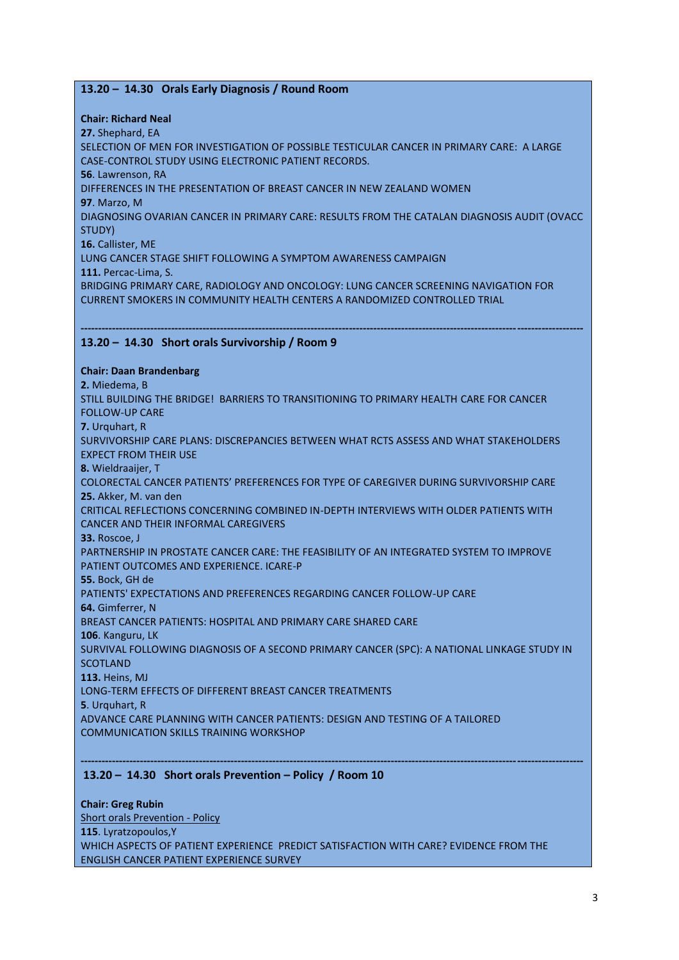# **13.20 – 14.30 Orals Early Diagnosis / Round Room**

**Chair: Richard Neal**

**27.** Shephard, EA

SELECTION OF MEN FOR INVESTIGATION OF POSSIBLE TESTICULAR CANCER IN PRIMARY CARE: A LARGE CASE-CONTROL STUDY USING ELECTRONIC PATIENT RECORDS.

**56**. Lawrenson, RA

DIFFERENCES IN THE PRESENTATION OF BREAST CANCER IN NEW ZEALAND WOMEN

**97**. Marzo, M

DIAGNOSING OVARIAN CANCER IN PRIMARY CARE: RESULTS FROM THE CATALAN DIAGNOSIS AUDIT (OVACC STUDY)

**16.** Callister, ME

LUNG CANCER STAGE SHIFT FOLLOWING A SYMPTOM AWARENESS CAMPAIGN

**111.** Percac-Lima, S.

BRIDGING PRIMARY CARE, RADIOLOGY AND ONCOLOGY: LUNG CANCER SCREENING NAVIGATION FOR CURRENT SMOKERS IN COMMUNITY HEALTH CENTERS A RANDOMIZED CONTROLLED TRIAL

#### **------------------------------------------------------------------------------------------------------------------------------------------------ 13.20 – 14.30 Short orals Survivorship / Room 9**

### **Chair: Daan Brandenbarg**

**2.** Miedema, B STILL BUILDING THE BRIDGE! BARRIERS TO TRANSITIONING TO PRIMARY HEALTH CARE FOR CANCER FOLLOW-UP CARE **7.** Urquhart, R SURVIVORSHIP CARE PLANS: DISCREPANCIES BETWEEN WHAT RCTS ASSESS AND WHAT STAKEHOLDERS EXPECT FROM THEIR USE **8.** Wieldraaijer, T COLORECTAL CANCER PATIENTS' PREFERENCES FOR TYPE OF CAREGIVER DURING SURVIVORSHIP CARE **25.** Akker, M. van den CRITICAL REFLECTIONS CONCERNING COMBINED IN-DEPTH INTERVIEWS WITH OLDER PATIENTS WITH CANCER AND THEIR INFORMAL CAREGIVERS **33.** Roscoe, J PARTNERSHIP IN PROSTATE CANCER CARE: THE FEASIBILITY OF AN INTEGRATED SYSTEM TO IMPROVE PATIENT OUTCOMES AND EXPERIENCE. ICARE-P **55.** Bock, GH de PATIENTS' EXPECTATIONS AND PREFERENCES REGARDING CANCER FOLLOW-UP CARE **64.** Gimferrer, N BREAST CANCER PATIENTS: HOSPITAL AND PRIMARY CARE SHARED CARE **106**. Kanguru, LK SURVIVAL FOLLOWING DIAGNOSIS OF A SECOND PRIMARY CANCER (SPC): A NATIONAL LINKAGE STUDY IN **SCOTLAND 113.** Heins, MJ LONG-TERM EFFECTS OF DIFFERENT BREAST CANCER TREATMENTS **5**. Urquhart, R ADVANCE CARE PLANNING WITH CANCER PATIENTS: DESIGN AND TESTING OF A TAILORED COMMUNICATION SKILLS TRAINING WORKSHOP

# **13.20 – 14.30 Short orals Prevention – Policy / Room 10**

**Chair: Greg Rubin** Short orals Prevention - Policy **115**. Lyratzopoulos,Y WHICH ASPECTS OF PATIENT EXPERIENCE PREDICT SATISFACTION WITH CARE? EVIDENCE FROM THE ENGLISH CANCER PATIENT EXPERIENCE SURVEY

**------------------------------------------------------------------------------------------------------------------------------------------------**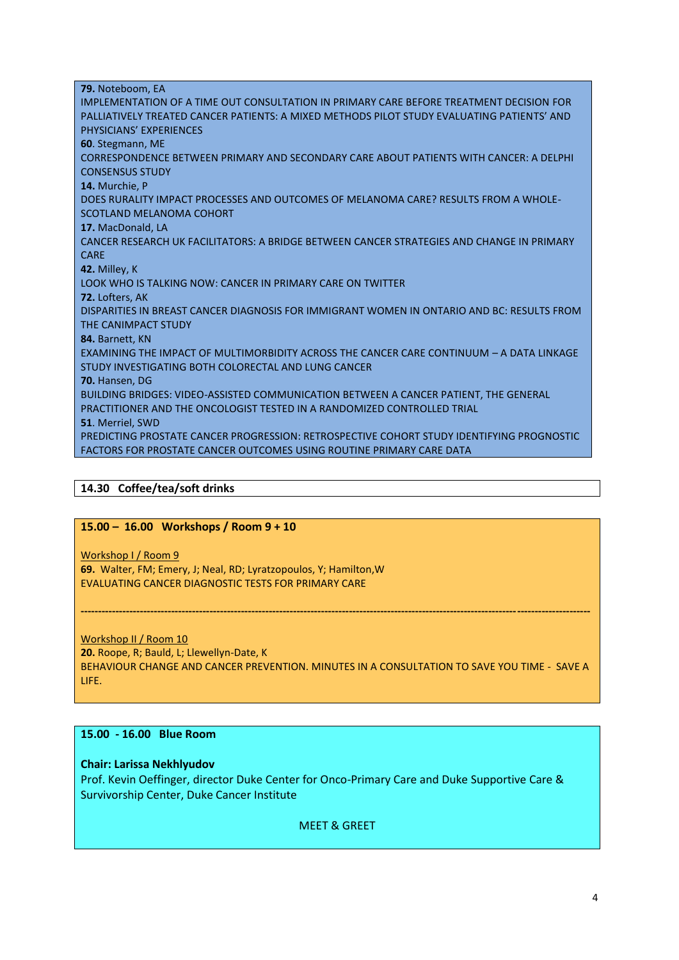| 79. Noteboom, EA                                                                           |
|--------------------------------------------------------------------------------------------|
| IMPLEMENTATION OF A TIME OUT CONSULTATION IN PRIMARY CARE BEFORE TREATMENT DECISION FOR    |
| PALLIATIVELY TREATED CANCER PATIENTS: A MIXED METHODS PILOT STUDY EVALUATING PATIENTS' AND |
| PHYSICIANS' EXPERIENCES                                                                    |
| 60. Stegmann, ME                                                                           |
| CORRESPONDENCE BETWEEN PRIMARY AND SECONDARY CARE ABOUT PATIENTS WITH CANCER: A DELPHI     |
| <b>CONSENSUS STUDY</b>                                                                     |
| 14. Murchie, P                                                                             |
| DOES RURALITY IMPACT PROCESSES AND OUTCOMES OF MELANOMA CARE? RESULTS FROM A WHOLE-        |
| SCOTLAND MELANOMA COHORT                                                                   |
| 17. MacDonald, LA                                                                          |
| CANCER RESEARCH UK FACILITATORS: A BRIDGE BETWEEN CANCER STRATEGIES AND CHANGE IN PRIMARY  |
| <b>CARE</b>                                                                                |
| 42. Milley, K                                                                              |
| LOOK WHO IS TALKING NOW: CANCER IN PRIMARY CARE ON TWITTER                                 |
| 72. Lofters, AK                                                                            |
| DISPARITIES IN BREAST CANCER DIAGNOSIS FOR IMMIGRANT WOMEN IN ONTARIO AND BC: RESULTS FROM |
| THE CANIMPACT STUDY                                                                        |
| 84. Barnett, KN                                                                            |
| EXAMINING THE IMPACT OF MULTIMORBIDITY ACROSS THE CANCER CARE CONTINUUM - A DATA LINKAGE   |
| STUDY INVESTIGATING BOTH COLORECTAL AND LUNG CANCER                                        |
| 70. Hansen, DG                                                                             |
| BUILDING BRIDGES: VIDEO-ASSISTED COMMUNICATION BETWEEN A CANCER PATIENT, THE GENERAL       |
| PRACTITIONER AND THE ONCOLOGIST TESTED IN A RANDOMIZED CONTROLLED TRIAL                    |
| 51. Merriel, SWD                                                                           |
| PREDICTING PROSTATE CANCER PROGRESSION: RETROSPECTIVE COHORT STUDY IDENTIFYING PROGNOSTIC  |
| FACTORS FOR PROSTATE CANCER OUTCOMES USING ROUTINE PRIMARY CARE DATA                       |

## **14.30 Coffee/tea/soft drinks**

## **15.00 – 16.00 Workshops / Room 9 + 10**

Workshop I / Room 9

**69.** Walter, FM; Emery, J; Neal, RD; Lyratzopoulos, Y; Hamilton,W EVALUATING CANCER DIAGNOSTIC TESTS FOR PRIMARY CARE

Workshop II / Room 10 **20.** Roope, R; Bauld, L; Llewellyn-Date, K BEHAVIOUR CHANGE AND CANCER PREVENTION. MINUTES IN A CONSULTATION TO SAVE YOU TIME - SAVE A LIFE.

**--------------------------------------------------------------------------------------------------------------------------------------------------**

# **15.00 - 16.00 Blue Room**

### **Chair: Larissa Nekhlyudov**

Prof. Kevin Oeffinger, director Duke Center for Onco-Primary Care and Duke Supportive Care & Survivorship Center, Duke Cancer Institute

MEET & GREET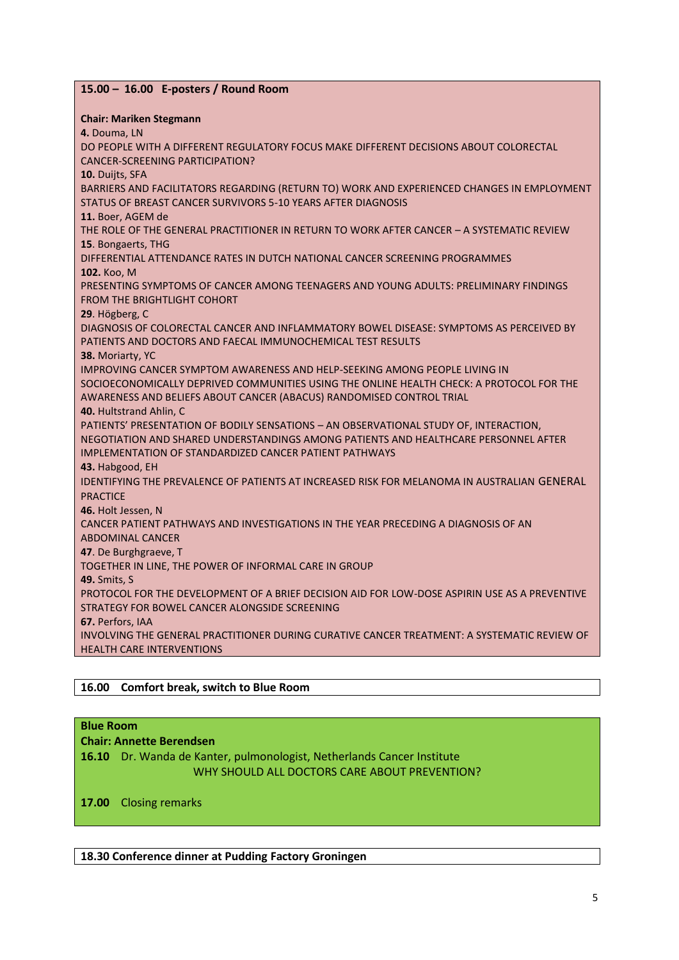| 15.00 - 16.00 E-posters / Round Room                                                          |
|-----------------------------------------------------------------------------------------------|
| <b>Chair: Mariken Stegmann</b>                                                                |
| 4. Douma, LN                                                                                  |
| DO PEOPLE WITH A DIFFERENT REGULATORY FOCUS MAKE DIFFERENT DECISIONS ABOUT COLORECTAL         |
| <b>CANCER-SCREENING PARTICIPATION?</b>                                                        |
| 10. Duijts, SFA                                                                               |
| BARRIERS AND FACILITATORS REGARDING (RETURN TO) WORK AND EXPERIENCED CHANGES IN EMPLOYMENT    |
| STATUS OF BREAST CANCER SURVIVORS 5-10 YEARS AFTER DIAGNOSIS                                  |
| 11. Boer, AGEM de                                                                             |
| THE ROLE OF THE GENERAL PRACTITIONER IN RETURN TO WORK AFTER CANCER - A SYSTEMATIC REVIEW     |
| 15. Bongaerts, THG                                                                            |
| DIFFERENTIAL ATTENDANCE RATES IN DUTCH NATIONAL CANCER SCREENING PROGRAMMES                   |
| 102. Koo, M                                                                                   |
| PRESENTING SYMPTOMS OF CANCER AMONG TEENAGERS AND YOUNG ADULTS: PRELIMINARY FINDINGS          |
| <b>FROM THE BRIGHTLIGHT COHORT</b>                                                            |
| 29. Högberg, C                                                                                |
| DIAGNOSIS OF COLORECTAL CANCER AND INFLAMMATORY BOWEL DISEASE: SYMPTOMS AS PERCEIVED BY       |
| PATIENTS AND DOCTORS AND FAECAL IMMUNOCHEMICAL TEST RESULTS                                   |
| 38. Moriarty, YC                                                                              |
| IMPROVING CANCER SYMPTOM AWARENESS AND HELP-SEEKING AMONG PEOPLE LIVING IN                    |
| SOCIOECONOMICALLY DEPRIVED COMMUNITIES USING THE ONLINE HEALTH CHECK: A PROTOCOL FOR THE      |
| AWARENESS AND BELIEFS ABOUT CANCER (ABACUS) RANDOMISED CONTROL TRIAL                          |
| <b>40. Hultstrand Ahlin, C</b>                                                                |
| PATIENTS' PRESENTATION OF BODILY SENSATIONS - AN OBSERVATIONAL STUDY OF, INTERACTION,         |
| NEGOTIATION AND SHARED UNDERSTANDINGS AMONG PATIENTS AND HEALTHCARE PERSONNEL AFTER           |
| <b>IMPLEMENTATION OF STANDARDIZED CANCER PATIENT PATHWAYS</b>                                 |
| 43. Habgood, EH                                                                               |
| IDENTIFYING THE PREVALENCE OF PATIENTS AT INCREASED RISK FOR MELANOMA IN AUSTRALIAN GENERAL   |
| <b>PRACTICE</b>                                                                               |
| 46. Holt Jessen, N                                                                            |
| CANCER PATIENT PATHWAYS AND INVESTIGATIONS IN THE YEAR PRECEDING A DIAGNOSIS OF AN            |
| <b>ABDOMINAL CANCER</b>                                                                       |
| 47. De Burghgraeve, T                                                                         |
| TOGETHER IN LINE, THE POWER OF INFORMAL CARE IN GROUP                                         |
| <b>49.</b> Smits, S                                                                           |
| PROTOCOL FOR THE DEVELOPMENT OF A BRIEF DECISION AID FOR LOW-DOSE ASPIRIN USE AS A PREVENTIVE |
| STRATEGY FOR BOWEL CANCER ALONGSIDE SCREENING                                                 |
| 67. Perfors, IAA                                                                              |
| INVOLVING THE GENERAL PRACTITIONER DURING CURATIVE CANCER TREATMENT: A SYSTEMATIC REVIEW OF   |
| <b>HEALTH CARE INTERVENTIONS</b>                                                              |
|                                                                                               |

# **16.00 Comfort break, switch to Blue Room**

# **Blue Room**

# **Chair: Annette Berendsen**

**16.10** Dr. Wanda de Kanter, pulmonologist, Netherlands Cancer Institute WHY SHOULD ALL DOCTORS CARE ABOUT PREVENTION?

**17.00** Closing remarks

**18.30 Conference dinner at Pudding Factory Groningen**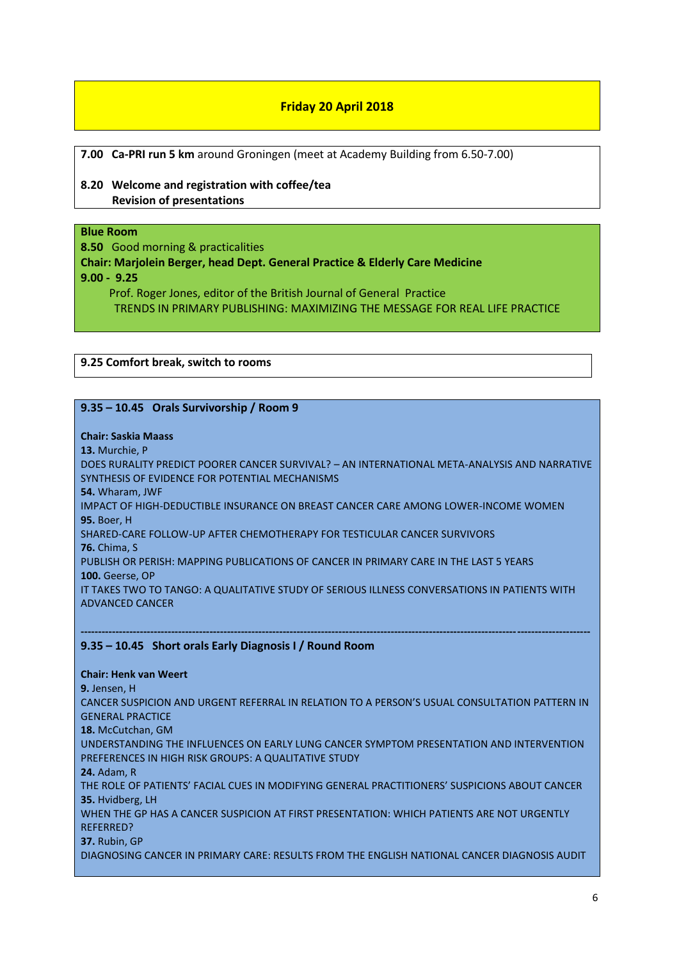# **Friday 20 April 2018**

**7.00 Ca-PRI run 5 km** around Groningen (meet at Academy Building from 6.50-7.00)

# **8.20 Welcome and registration with coffee/tea Revision of presentations**

### **Blue Room**

**8.50** Good morning & practicalities

**Chair: Marjolein Berger, head Dept. General Practice & Elderly Care Medicine 9.00 - 9.25**

 Prof. Roger Jones, editor of the British Journal of General Practice TRENDS IN PRIMARY PUBLISHING: MAXIMIZING THE MESSAGE FOR REAL LIFE PRACTICE

**9.25 Comfort break, switch to rooms**

### **9.35 – 10.45 Orals Survivorship / Room 9**

#### **Chair: Saskia Maass**

**13.** Murchie, P

DOES RURALITY PREDICT POORER CANCER SURVIVAL? – AN INTERNATIONAL META-ANALYSIS AND NARRATIVE SYNTHESIS OF EVIDENCE FOR POTENTIAL MECHANISMS **54.** Wharam, JWF IMPACT OF HIGH-DEDUCTIBLE INSURANCE ON BREAST CANCER CARE AMONG LOWER-INCOME WOMEN **95.** Boer, H

SHARED-CARE FOLLOW-UP AFTER CHEMOTHERAPY FOR TESTICULAR CANCER SURVIVORS **76.** Chima, S

PUBLISH OR PERISH: MAPPING PUBLICATIONS OF CANCER IN PRIMARY CARE IN THE LAST 5 YEARS **100.** Geerse, OP

IT TAKES TWO TO TANGO: A QUALITATIVE STUDY OF SERIOUS ILLNESS CONVERSATIONS IN PATIENTS WITH ADVANCED CANCER

**--------------------------------------------------------------------------------------------------------------------------------------------------**

#### **9.35 – 10.45 Short orals Early Diagnosis I / Round Room**

**Chair: Henk van Weert**

**9.** Jensen, H CANCER SUSPICION AND URGENT REFERRAL IN RELATION TO A PERSON'S USUAL CONSULTATION PATTERN IN GENERAL PRACTICE **18.** McCutchan, GM UNDERSTANDING THE INFLUENCES ON EARLY LUNG CANCER SYMPTOM PRESENTATION AND INTERVENTION PREFERENCES IN HIGH RISK GROUPS: A QUALITATIVE STUDY **24.** Adam, R THE ROLE OF PATIENTS' FACIAL CUES IN MODIFYING GENERAL PRACTITIONERS' SUSPICIONS ABOUT CANCER **35.** Hvidberg, LH WHEN THE GP HAS A CANCER SUSPICION AT FIRST PRESENTATION: WHICH PATIENTS ARE NOT URGENTLY REFERRED? **37.** Rubin, GP DIAGNOSING CANCER IN PRIMARY CARE: RESULTS FROM THE ENGLISH NATIONAL CANCER DIAGNOSIS AUDIT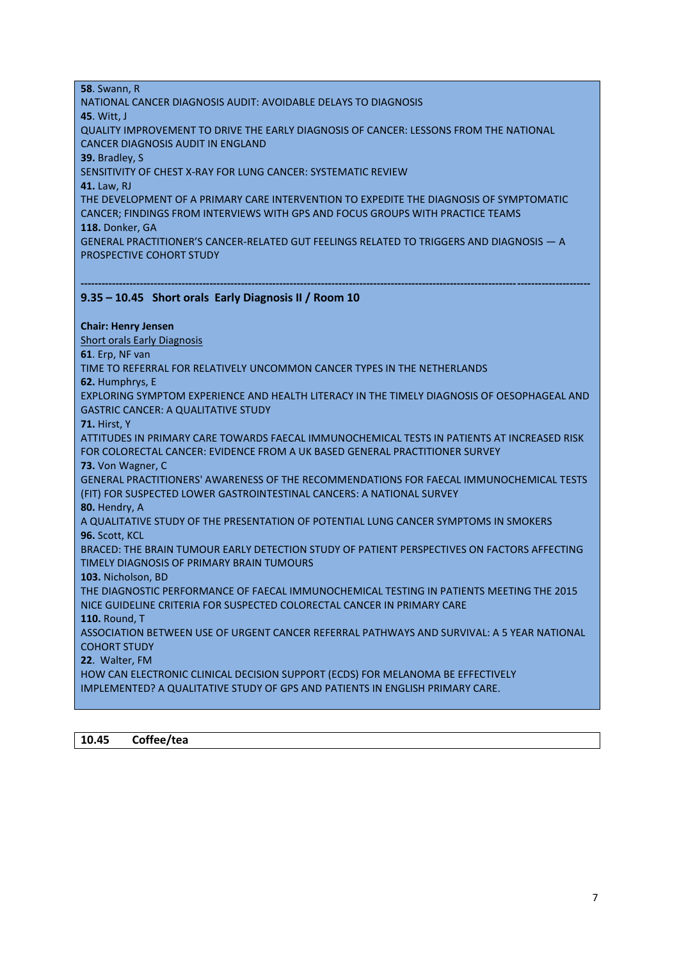**58**. Swann, R NATIONAL CANCER DIAGNOSIS AUDIT: AVOIDABLE DELAYS TO DIAGNOSIS **45**. Witt, J QUALITY IMPROVEMENT TO DRIVE THE EARLY DIAGNOSIS OF CANCER: LESSONS FROM THE NATIONAL CANCER DIAGNOSIS AUDIT IN ENGLAND **39.** Bradley, S SENSITIVITY OF CHEST X-RAY FOR LUNG CANCER: SYSTEMATIC REVIEW **41.** Law, RJ THE DEVELOPMENT OF A PRIMARY CARE INTERVENTION TO EXPEDITE THE DIAGNOSIS OF SYMPTOMATIC CANCER; FINDINGS FROM INTERVIEWS WITH GPS AND FOCUS GROUPS WITH PRACTICE TEAMS **118.** Donker, GA GENERAL PRACTITIONER'S CANCER-RELATED GUT FEELINGS RELATED TO TRIGGERS AND DIAGNOSIS — A PROSPECTIVE COHORT STUDY

#### **-------------------------------------------------------------------------------------------------------------------------------------------------- 9.35 – 10.45 Short orals Early Diagnosis II / Room 10**

**Chair: Henry Jensen**

Short orals Early Diagnosis

**61**. Erp, NF van

TIME TO REFERRAL FOR RELATIVELY UNCOMMON CANCER TYPES IN THE NETHERLANDS

**62.** Humphrys, E

EXPLORING SYMPTOM EXPERIENCE AND HEALTH LITERACY IN THE TIMELY DIAGNOSIS OF OESOPHAGEAL AND GASTRIC CANCER: A QUALITATIVE STUDY

**71.** Hirst, Y

ATTITUDES IN PRIMARY CARE TOWARDS FAECAL IMMUNOCHEMICAL TESTS IN PATIENTS AT INCREASED RISK FOR COLORECTAL CANCER: EVIDENCE FROM A UK BASED GENERAL PRACTITIONER SURVEY **73.** Von Wagner, C GENERAL PRACTITIONERS' AWARENESS OF THE RECOMMENDATIONS FOR FAECAL IMMUNOCHEMICAL TESTS

(FIT) FOR SUSPECTED LOWER GASTROINTESTINAL CANCERS: A NATIONAL SURVEY

**80.** Hendry, A

A QUALITATIVE STUDY OF THE PRESENTATION OF POTENTIAL LUNG CANCER SYMPTOMS IN SMOKERS **96.** Scott, KCL

BRACED: THE BRAIN TUMOUR EARLY DETECTION STUDY OF PATIENT PERSPECTIVES ON FACTORS AFFECTING TIMELY DIAGNOSIS OF PRIMARY BRAIN TUMOURS

**103.** Nicholson, BD

THE DIAGNOSTIC PERFORMANCE OF FAECAL IMMUNOCHEMICAL TESTING IN PATIENTS MEETING THE 2015 NICE GUIDELINE CRITERIA FOR SUSPECTED COLORECTAL CANCER IN PRIMARY CARE

**110.** Round, T

ASSOCIATION BETWEEN USE OF URGENT CANCER REFERRAL PATHWAYS AND SURVIVAL: A 5 YEAR NATIONAL COHORT STUDY

**22**. Walter, FM

HOW CAN ELECTRONIC CLINICAL DECISION SUPPORT (ECDS) FOR MELANOMA BE EFFECTIVELY

IMPLEMENTED? A QUALITATIVE STUDY OF GPS AND PATIENTS IN ENGLISH PRIMARY CARE.

**10.45 Coffee/tea**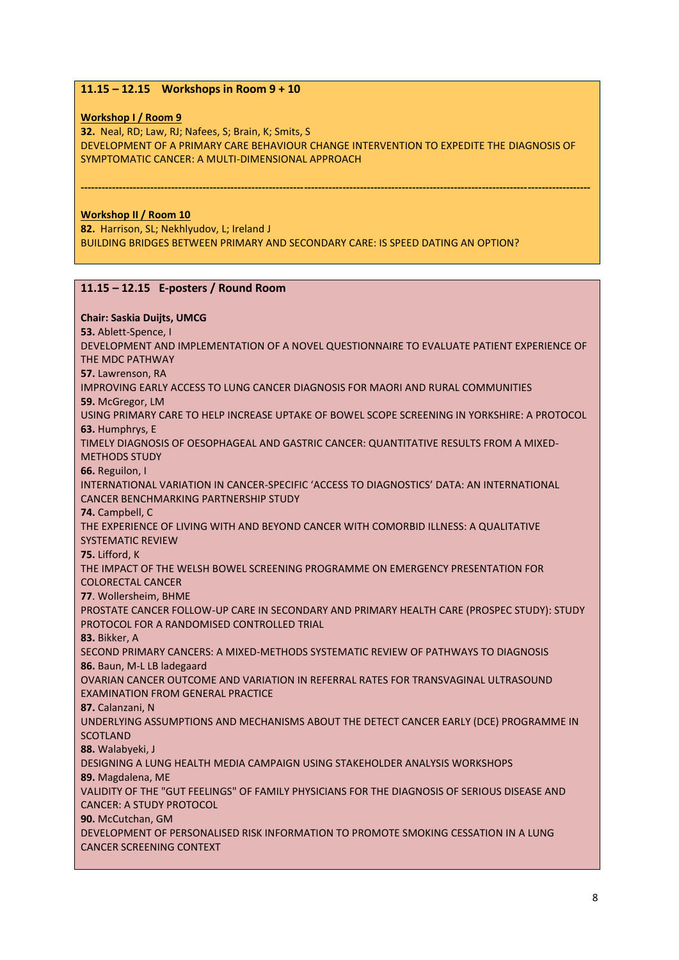# **11.15 – 12.15 Workshops in Room 9 + 10**

### **Workshop I / Room 9**

**32.** Neal, RD; Law, RJ; Nafees, S; Brain, K; Smits, S DEVELOPMENT OF A PRIMARY CARE BEHAVIOUR CHANGE INTERVENTION TO EXPEDITE THE DIAGNOSIS OF SYMPTOMATIC CANCER: A MULTI-DIMENSIONAL APPROACH

**--------------------------------------------------------------------------------------------------------------------------------------------------**

## **Workshop II / Room 10**

**82.** Harrison, SL; Nekhlyudov, L; Ireland J BUILDING BRIDGES BETWEEN PRIMARY AND SECONDARY CARE: IS SPEED DATING AN OPTION?

# **11.15 – 12.15 E-posters / Round Room**

## **Chair: Saskia Duijts, UMCG 53.** Ablett-Spence, I DEVELOPMENT AND IMPLEMENTATION OF A NOVEL QUESTIONNAIRE TO EVALUATE PATIENT EXPERIENCE OF THE MDC PATHWAY **57.** Lawrenson, RA IMPROVING EARLY ACCESS TO LUNG CANCER DIAGNOSIS FOR MAORI AND RURAL COMMUNITIES **59.** McGregor, LM USING PRIMARY CARE TO HELP INCREASE UPTAKE OF BOWEL SCOPE SCREENING IN YORKSHIRE: A PROTOCOL **63.** Humphrys, E TIMELY DIAGNOSIS OF OESOPHAGEAL AND GASTRIC CANCER: QUANTITATIVE RESULTS FROM A MIXED-METHODS STUDY **66.** Reguilon, I INTERNATIONAL VARIATION IN CANCER-SPECIFIC 'ACCESS TO DIAGNOSTICS' DATA: AN INTERNATIONAL CANCER BENCHMARKING PARTNERSHIP STUDY **74.** Campbell, C THE EXPERIENCE OF LIVING WITH AND BEYOND CANCER WITH COMORBID ILLNESS: A QUALITATIVE SYSTEMATIC REVIEW **75.** Lifford, K THE IMPACT OF THE WELSH BOWEL SCREENING PROGRAMME ON EMERGENCY PRESENTATION FOR COLORECTAL CANCER **77**. Wollersheim, BHME PROSTATE CANCER FOLLOW-UP CARE IN SECONDARY AND PRIMARY HEALTH CARE (PROSPEC STUDY): STUDY PROTOCOL FOR A RANDOMISED CONTROLLED TRIAL **83.** Bikker, A SECOND PRIMARY CANCERS: A MIXED-METHODS SYSTEMATIC REVIEW OF PATHWAYS TO DIAGNOSIS **86.** Baun, M-L LB ladegaard OVARIAN CANCER OUTCOME AND VARIATION IN REFERRAL RATES FOR TRANSVAGINAL ULTRASOUND EXAMINATION FROM GENERAL PRACTICE **87.** Calanzani, N UNDERLYING ASSUMPTIONS AND MECHANISMS ABOUT THE DETECT CANCER EARLY (DCE) PROGRAMME IN **SCOTLAND 88.** Walabyeki, J DESIGNING A LUNG HEALTH MEDIA CAMPAIGN USING STAKEHOLDER ANALYSIS WORKSHOPS **89.** Magdalena, ME VALIDITY OF THE "GUT FEELINGS" OF FAMILY PHYSICIANS FOR THE DIAGNOSIS OF SERIOUS DISEASE AND CANCER: A STUDY PROTOCOL **90.** McCutchan, GM DEVELOPMENT OF PERSONALISED RISK INFORMATION TO PROMOTE SMOKING CESSATION IN A LUNG CANCER SCREENING CONTEXT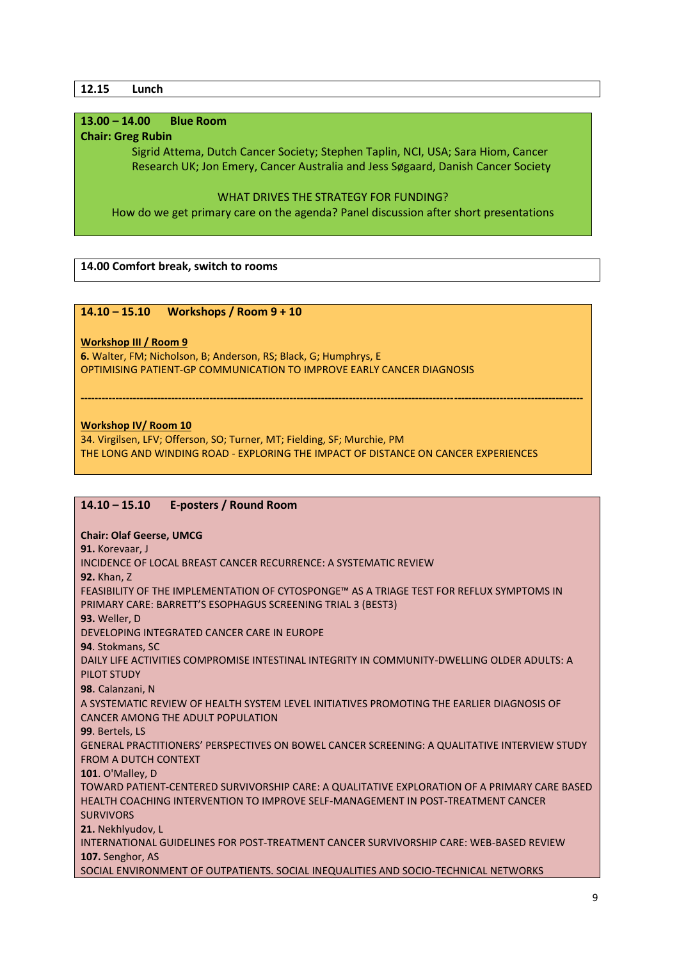### **12.15 Lunch**

# **13.00 – 14.00 Blue Room**

#### **Chair: Greg Rubin**

 Sigrid Attema, Dutch Cancer Society; Stephen Taplin, NCI, USA; Sara Hiom, Cancer Research UK; Jon Emery, Cancer Australia and Jess Søgaard, Danish Cancer Society

#### WHAT DRIVES THE STRATEGY FOR FUNDING?

How do we get primary care on the agenda? Panel discussion after short presentations

## **14.00 Comfort break, switch to rooms**

### **14.10 – 15.10 Workshops / Room 9 + 10**

### **Workshop III / Room 9**

**6.** Walter, FM; Nicholson, B; Anderson, RS; Black, G; Humphrys, E OPTIMISING PATIENT-GP COMMUNICATION TO IMPROVE EARLY CANCER DIAGNOSIS

### **Workshop IV/ Room 10**

34. Virgilsen, LFV; Offerson, SO; Turner, MT; Fielding, SF; Murchie, PM THE LONG AND WINDING ROAD - EXPLORING THE IMPACT OF DISTANCE ON CANCER EXPERIENCES

**------------------------------------------------------------------------------------------------------------------------------------------------**

## **14.10 – 15.10 E-posters / Round Room**

#### **Chair: Olaf Geerse, UMCG**

**91.** Korevaar, J INCIDENCE OF LOCAL BREAST CANCER RECURRENCE: A SYSTEMATIC REVIEW **92.** Khan, Z FEASIBILITY OF THE IMPLEMENTATION OF CYTOSPONGE™ AS A TRIAGE TEST FOR REFLUX SYMPTOMS IN PRIMARY CARE: BARRETT'S ESOPHAGUS SCREENING TRIAL 3 (BEST3) **93.** Weller, D DEVELOPING INTEGRATED CANCER CARE IN EUROPE **94**. Stokmans, SC DAILY LIFE ACTIVITIES COMPROMISE INTESTINAL INTEGRITY IN COMMUNITY-DWELLING OLDER ADULTS: A PILOT STUDY **98**. Calanzani, N A SYSTEMATIC REVIEW OF HEALTH SYSTEM LEVEL INITIATIVES PROMOTING THE EARLIER DIAGNOSIS OF CANCER AMONG THE ADULT POPULATION **99**. Bertels, LS GENERAL PRACTITIONERS' PERSPECTIVES ON BOWEL CANCER SCREENING: A QUALITATIVE INTERVIEW STUDY FROM A DUTCH CONTEXT **101**. O'Malley, D TOWARD PATIENT-CENTERED SURVIVORSHIP CARE: A QUALITATIVE EXPLORATION OF A PRIMARY CARE BASED HEALTH COACHING INTERVENTION TO IMPROVE SELF-MANAGEMENT IN POST-TREATMENT CANCER SURVIVORS **21.** Nekhlyudov, L INTERNATIONAL GUIDELINES FOR POST-TREATMENT CANCER SURVIVORSHIP CARE: WEB-BASED REVIEW **107.** Senghor, AS SOCIAL ENVIRONMENT OF OUTPATIENTS. SOCIAL INEQUALITIES AND SOCIO-TECHNICAL NETWORKS